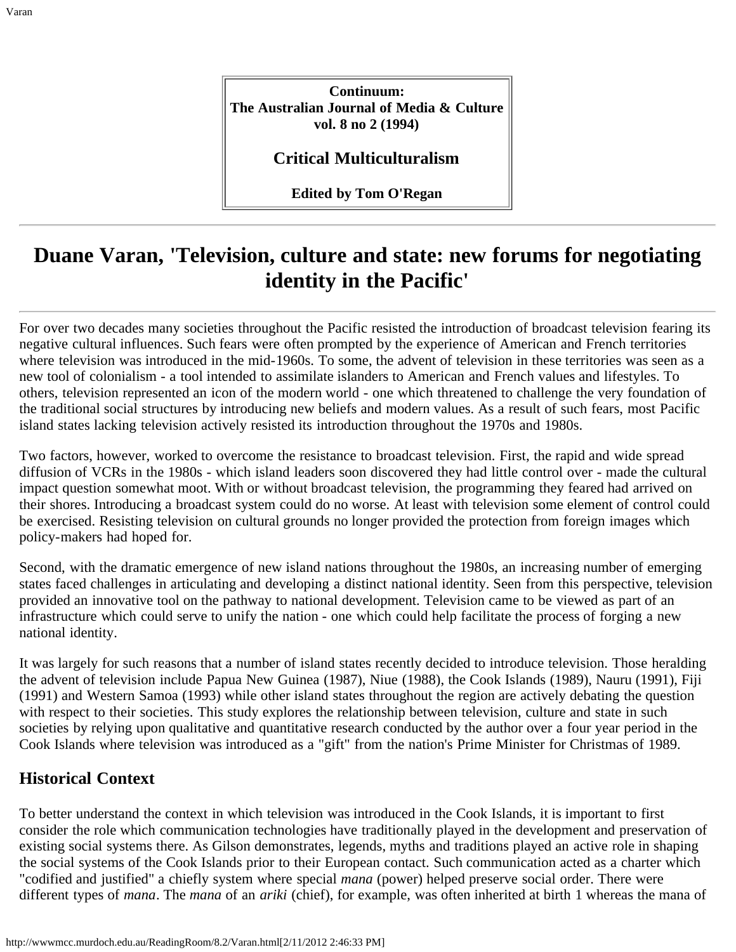**Continuum: The Australian Journal of Media & Culture vol. 8 no 2 (1994)**

### **Critical Multiculturalism**

**Edited by Tom O'Regan**

# **Duane Varan, 'Television, culture and state: new forums for negotiating identity in the Pacific'**

For over two decades many societies throughout the Pacific resisted the introduction of broadcast television fearing its negative cultural influences. Such fears were often prompted by the experience of American and French territories where television was introduced in the mid-1960s. To some, the advent of television in these territories was seen as a new tool of colonialism - a tool intended to assimilate islanders to American and French values and lifestyles. To others, television represented an icon of the modern world - one which threatened to challenge the very foundation of the traditional social structures by introducing new beliefs and modern values. As a result of such fears, most Pacific island states lacking television actively resisted its introduction throughout the 1970s and 1980s.

Two factors, however, worked to overcome the resistance to broadcast television. First, the rapid and wide spread diffusion of VCRs in the 1980s - which island leaders soon discovered they had little control over - made the cultural impact question somewhat moot. With or without broadcast television, the programming they feared had arrived on their shores. Introducing a broadcast system could do no worse. At least with television some element of control could be exercised. Resisting television on cultural grounds no longer provided the protection from foreign images which policy-makers had hoped for.

Second, with the dramatic emergence of new island nations throughout the 1980s, an increasing number of emerging states faced challenges in articulating and developing a distinct national identity. Seen from this perspective, television provided an innovative tool on the pathway to national development. Television came to be viewed as part of an infrastructure which could serve to unify the nation - one which could help facilitate the process of forging a new national identity.

It was largely for such reasons that a number of island states recently decided to introduce television. Those heralding the advent of television include Papua New Guinea (1987), Niue (1988), the Cook Islands (1989), Nauru (1991), Fiji (1991) and Western Samoa (1993) while other island states throughout the region are actively debating the question with respect to their societies. This study explores the relationship between television, culture and state in such societies by relying upon qualitative and quantitative research conducted by the author over a four year period in the Cook Islands where television was introduced as a "gift" from the nation's Prime Minister for Christmas of 1989.

## **Historical Context**

To better understand the context in which television was introduced in the Cook Islands, it is important to first consider the role which communication technologies have traditionally played in the development and preservation of existing social systems there. As Gilson demonstrates, legends, myths and traditions played an active role in shaping the social systems of the Cook Islands prior to their European contact. Such communication acted as a charter which "codified and justified" a chiefly system where special *mana* (power) helped preserve social order. There were different types of *mana*. The *mana* of an *ariki* (chief), for example, was often inherited at birth 1 whereas the mana of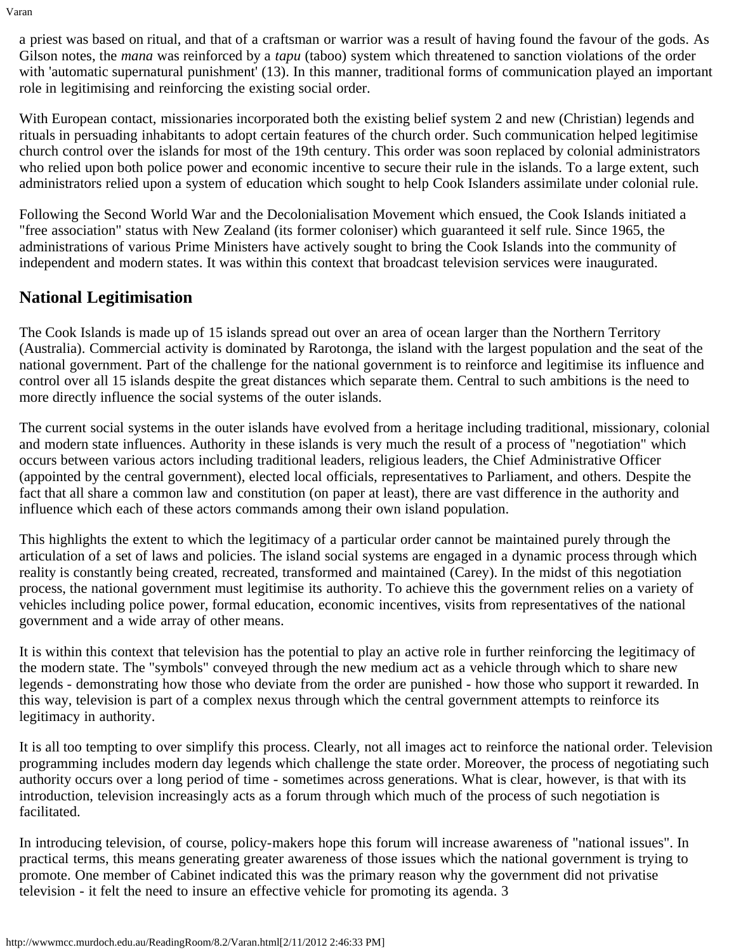a priest was based on ritual, and that of a craftsman or warrior was a result of having found the favour of the gods. As Gilson notes, the *mana* was reinforced by a *tapu* (taboo) system which threatened to sanction violations of the order with 'automatic supernatural punishment' (13). In this manner, traditional forms of communication played an important role in legitimising and reinforcing the existing social order.

With European contact, missionaries incorporated both the existing belief system 2 and new (Christian) legends and rituals in persuading inhabitants to adopt certain features of the church order. Such communication helped legitimise church control over the islands for most of the 19th century. This order was soon replaced by colonial administrators who relied upon both police power and economic incentive to secure their rule in the islands. To a large extent, such administrators relied upon a system of education which sought to help Cook Islanders assimilate under colonial rule.

Following the Second World War and the Decolonialisation Movement which ensued, the Cook Islands initiated a "free association" status with New Zealand (its former coloniser) which guaranteed it self rule. Since 1965, the administrations of various Prime Ministers have actively sought to bring the Cook Islands into the community of independent and modern states. It was within this context that broadcast television services were inaugurated.

## **National Legitimisation**

The Cook Islands is made up of 15 islands spread out over an area of ocean larger than the Northern Territory (Australia). Commercial activity is dominated by Rarotonga, the island with the largest population and the seat of the national government. Part of the challenge for the national government is to reinforce and legitimise its influence and control over all 15 islands despite the great distances which separate them. Central to such ambitions is the need to more directly influence the social systems of the outer islands.

The current social systems in the outer islands have evolved from a heritage including traditional, missionary, colonial and modern state influences. Authority in these islands is very much the result of a process of "negotiation" which occurs between various actors including traditional leaders, religious leaders, the Chief Administrative Officer (appointed by the central government), elected local officials, representatives to Parliament, and others. Despite the fact that all share a common law and constitution (on paper at least), there are vast difference in the authority and influence which each of these actors commands among their own island population.

This highlights the extent to which the legitimacy of a particular order cannot be maintained purely through the articulation of a set of laws and policies. The island social systems are engaged in a dynamic process through which reality is constantly being created, recreated, transformed and maintained (Carey). In the midst of this negotiation process, the national government must legitimise its authority. To achieve this the government relies on a variety of vehicles including police power, formal education, economic incentives, visits from representatives of the national government and a wide array of other means.

It is within this context that television has the potential to play an active role in further reinforcing the legitimacy of the modern state. The "symbols" conveyed through the new medium act as a vehicle through which to share new legends - demonstrating how those who deviate from the order are punished - how those who support it rewarded. In this way, television is part of a complex nexus through which the central government attempts to reinforce its legitimacy in authority.

It is all too tempting to over simplify this process. Clearly, not all images act to reinforce the national order. Television programming includes modern day legends which challenge the state order. Moreover, the process of negotiating such authority occurs over a long period of time - sometimes across generations. What is clear, however, is that with its introduction, television increasingly acts as a forum through which much of the process of such negotiation is facilitated.

In introducing television, of course, policy-makers hope this forum will increase awareness of "national issues". In practical terms, this means generating greater awareness of those issues which the national government is trying to promote. One member of Cabinet indicated this was the primary reason why the government did not privatise television - it felt the need to insure an effective vehicle for promoting its agenda. 3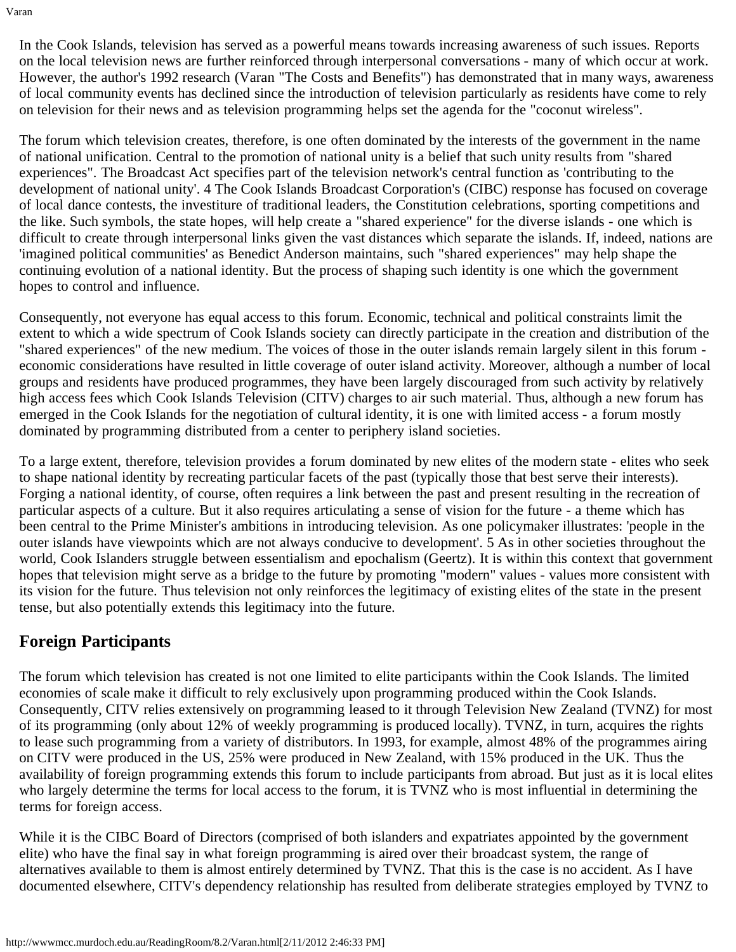In the Cook Islands, television has served as a powerful means towards increasing awareness of such issues. Reports on the local television news are further reinforced through interpersonal conversations - many of which occur at work. However, the author's 1992 research (Varan "The Costs and Benefits") has demonstrated that in many ways, awareness of local community events has declined since the introduction of television particularly as residents have come to rely on television for their news and as television programming helps set the agenda for the "coconut wireless".

The forum which television creates, therefore, is one often dominated by the interests of the government in the name of national unification. Central to the promotion of national unity is a belief that such unity results from "shared experiences". The Broadcast Act specifies part of the television network's central function as 'contributing to the development of national unity'. 4 The Cook Islands Broadcast Corporation's (CIBC) response has focused on coverage of local dance contests, the investiture of traditional leaders, the Constitution celebrations, sporting competitions and the like. Such symbols, the state hopes, will help create a "shared experience" for the diverse islands - one which is difficult to create through interpersonal links given the vast distances which separate the islands. If, indeed, nations are 'imagined political communities' as Benedict Anderson maintains, such "shared experiences" may help shape the continuing evolution of a national identity. But the process of shaping such identity is one which the government hopes to control and influence.

Consequently, not everyone has equal access to this forum. Economic, technical and political constraints limit the extent to which a wide spectrum of Cook Islands society can directly participate in the creation and distribution of the "shared experiences" of the new medium. The voices of those in the outer islands remain largely silent in this forum economic considerations have resulted in little coverage of outer island activity. Moreover, although a number of local groups and residents have produced programmes, they have been largely discouraged from such activity by relatively high access fees which Cook Islands Television (CITV) charges to air such material. Thus, although a new forum has emerged in the Cook Islands for the negotiation of cultural identity, it is one with limited access - a forum mostly dominated by programming distributed from a center to periphery island societies.

To a large extent, therefore, television provides a forum dominated by new elites of the modern state - elites who seek to shape national identity by recreating particular facets of the past (typically those that best serve their interests). Forging a national identity, of course, often requires a link between the past and present resulting in the recreation of particular aspects of a culture. But it also requires articulating a sense of vision for the future - a theme which has been central to the Prime Minister's ambitions in introducing television. As one policymaker illustrates: 'people in the outer islands have viewpoints which are not always conducive to development'. 5 As in other societies throughout the world, Cook Islanders struggle between essentialism and epochalism (Geertz). It is within this context that government hopes that television might serve as a bridge to the future by promoting "modern" values - values more consistent with its vision for the future. Thus television not only reinforces the legitimacy of existing elites of the state in the present tense, but also potentially extends this legitimacy into the future.

## **Foreign Participants**

The forum which television has created is not one limited to elite participants within the Cook Islands. The limited economies of scale make it difficult to rely exclusively upon programming produced within the Cook Islands. Consequently, CITV relies extensively on programming leased to it through Television New Zealand (TVNZ) for most of its programming (only about 12% of weekly programming is produced locally). TVNZ, in turn, acquires the rights to lease such programming from a variety of distributors. In 1993, for example, almost 48% of the programmes airing on CITV were produced in the US, 25% were produced in New Zealand, with 15% produced in the UK. Thus the availability of foreign programming extends this forum to include participants from abroad. But just as it is local elites who largely determine the terms for local access to the forum, it is TVNZ who is most influential in determining the terms for foreign access.

While it is the CIBC Board of Directors (comprised of both islanders and expatriates appointed by the government elite) who have the final say in what foreign programming is aired over their broadcast system, the range of alternatives available to them is almost entirely determined by TVNZ. That this is the case is no accident. As I have documented elsewhere, CITV's dependency relationship has resulted from deliberate strategies employed by TVNZ to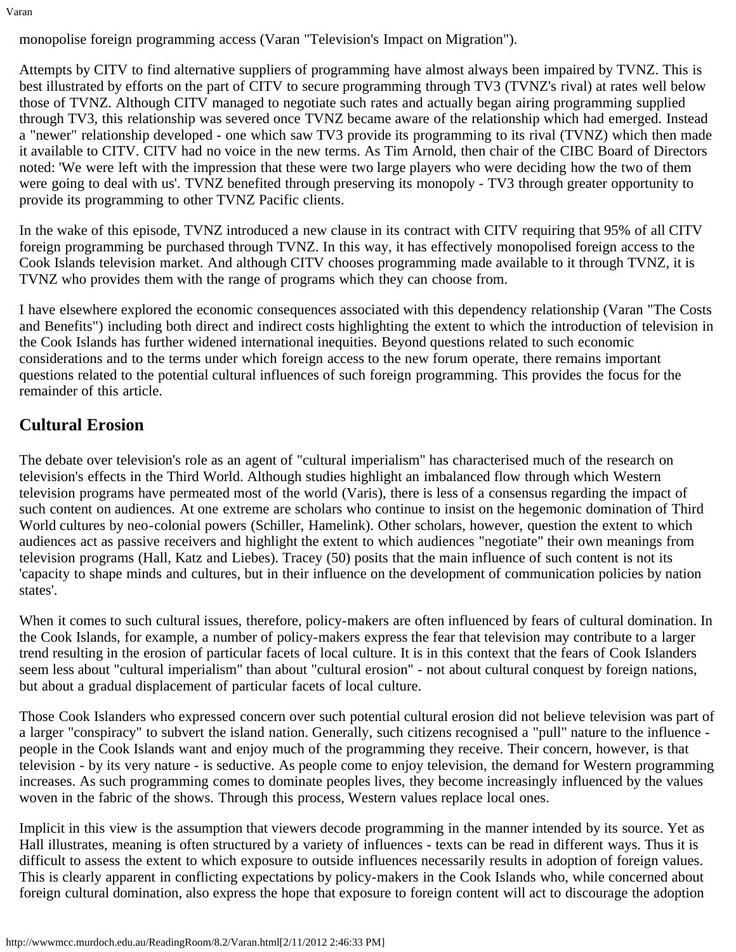monopolise foreign programming access (Varan "Television's Impact on Migration").

Attempts by CITV to find alternative suppliers of programming have almost always been impaired by TVNZ. This is best illustrated by efforts on the part of CITV to secure programming through TV3 (TVNZ's rival) at rates well below those of TVNZ. Although CITV managed to negotiate such rates and actually began airing programming supplied through TV3, this relationship was severed once TVNZ became aware of the relationship which had emerged. Instead a "newer" relationship developed - one which saw TV3 provide its programming to its rival (TVNZ) which then made it available to CITV. CITV had no voice in the new terms. As Tim Arnold, then chair of the CIBC Board of Directors noted: 'We were left with the impression that these were two large players who were deciding how the two of them were going to deal with us'. TVNZ benefited through preserving its monopoly - TV3 through greater opportunity to provide its programming to other TVNZ Pacific clients.

In the wake of this episode, TVNZ introduced a new clause in its contract with CITV requiring that 95% of all CITV foreign programming be purchased through TVNZ. In this way, it has effectively monopolised foreign access to the Cook Islands television market. And although CITV chooses programming made available to it through TVNZ, it is TVNZ who provides them with the range of programs which they can choose from.

I have elsewhere explored the economic consequences associated with this dependency relationship (Varan "The Costs and Benefits") including both direct and indirect costs highlighting the extent to which the introduction of television in the Cook Islands has further widened international inequities. Beyond questions related to such economic considerations and to the terms under which foreign access to the new forum operate, there remains important questions related to the potential cultural influences of such foreign programming. This provides the focus for the remainder of this article.

## **Cultural Erosion**

The debate over television's role as an agent of "cultural imperialism" has characterised much of the research on television's effects in the Third World. Although studies highlight an imbalanced flow through which Western television programs have permeated most of the world (Varis), there is less of a consensus regarding the impact of such content on audiences. At one extreme are scholars who continue to insist on the hegemonic domination of Third World cultures by neo-colonial powers (Schiller, Hamelink). Other scholars, however, question the extent to which audiences act as passive receivers and highlight the extent to which audiences "negotiate" their own meanings from television programs (Hall, Katz and Liebes). Tracey (50) posits that the main influence of such content is not its 'capacity to shape minds and cultures, but in their influence on the development of communication policies by nation states'.

When it comes to such cultural issues, therefore, policy-makers are often influenced by fears of cultural domination. In the Cook Islands, for example, a number of policy-makers express the fear that television may contribute to a larger trend resulting in the erosion of particular facets of local culture. It is in this context that the fears of Cook Islanders seem less about "cultural imperialism" than about "cultural erosion" - not about cultural conquest by foreign nations, but about a gradual displacement of particular facets of local culture.

Those Cook Islanders who expressed concern over such potential cultural erosion did not believe television was part of a larger "conspiracy" to subvert the island nation. Generally, such citizens recognised a "pull" nature to the influence people in the Cook Islands want and enjoy much of the programming they receive. Their concern, however, is that television - by its very nature - is seductive. As people come to enjoy television, the demand for Western programming increases. As such programming comes to dominate peoples lives, they become increasingly influenced by the values woven in the fabric of the shows. Through this process, Western values replace local ones.

Implicit in this view is the assumption that viewers decode programming in the manner intended by its source. Yet as Hall illustrates, meaning is often structured by a variety of influences - texts can be read in different ways. Thus it is difficult to assess the extent to which exposure to outside influences necessarily results in adoption of foreign values. This is clearly apparent in conflicting expectations by policy-makers in the Cook Islands who, while concerned about foreign cultural domination, also express the hope that exposure to foreign content will act to discourage the adoption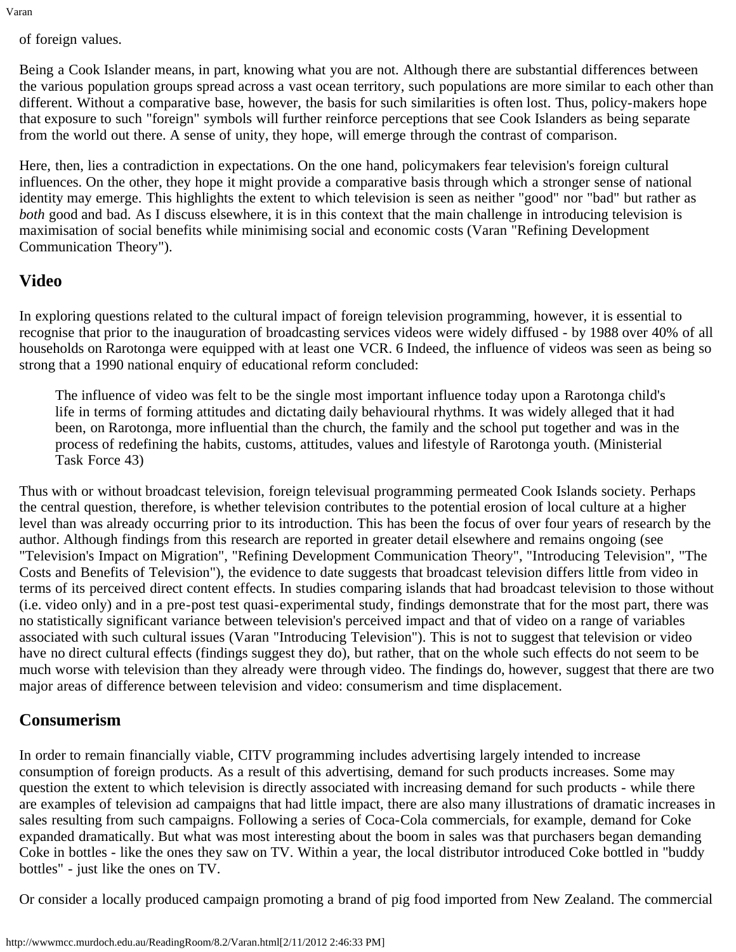of foreign values.

Being a Cook Islander means, in part, knowing what you are not. Although there are substantial differences between the various population groups spread across a vast ocean territory, such populations are more similar to each other than different. Without a comparative base, however, the basis for such similarities is often lost. Thus, policy-makers hope that exposure to such "foreign" symbols will further reinforce perceptions that see Cook Islanders as being separate from the world out there. A sense of unity, they hope, will emerge through the contrast of comparison.

Here, then, lies a contradiction in expectations. On the one hand, policymakers fear television's foreign cultural influences. On the other, they hope it might provide a comparative basis through which a stronger sense of national identity may emerge. This highlights the extent to which television is seen as neither "good" nor "bad" but rather as *both* good and bad. As I discuss elsewhere, it is in this context that the main challenge in introducing television is maximisation of social benefits while minimising social and economic costs (Varan "Refining Development Communication Theory").

#### **Video**

In exploring questions related to the cultural impact of foreign television programming, however, it is essential to recognise that prior to the inauguration of broadcasting services videos were widely diffused - by 1988 over 40% of all households on Rarotonga were equipped with at least one VCR. 6 Indeed, the influence of videos was seen as being so strong that a 1990 national enquiry of educational reform concluded:

The influence of video was felt to be the single most important influence today upon a Rarotonga child's life in terms of forming attitudes and dictating daily behavioural rhythms. It was widely alleged that it had been, on Rarotonga, more influential than the church, the family and the school put together and was in the process of redefining the habits, customs, attitudes, values and lifestyle of Rarotonga youth. (Ministerial Task Force 43)

Thus with or without broadcast television, foreign televisual programming permeated Cook Islands society. Perhaps the central question, therefore, is whether television contributes to the potential erosion of local culture at a higher level than was already occurring prior to its introduction. This has been the focus of over four years of research by the author. Although findings from this research are reported in greater detail elsewhere and remains ongoing (see "Television's Impact on Migration", "Refining Development Communication Theory", "Introducing Television", "The Costs and Benefits of Television"), the evidence to date suggests that broadcast television differs little from video in terms of its perceived direct content effects. In studies comparing islands that had broadcast television to those without (i.e. video only) and in a pre-post test quasi-experimental study, findings demonstrate that for the most part, there was no statistically significant variance between television's perceived impact and that of video on a range of variables associated with such cultural issues (Varan "Introducing Television"). This is not to suggest that television or video have no direct cultural effects (findings suggest they do), but rather, that on the whole such effects do not seem to be much worse with television than they already were through video. The findings do, however, suggest that there are two major areas of difference between television and video: consumerism and time displacement.

#### **Consumerism**

In order to remain financially viable, CITV programming includes advertising largely intended to increase consumption of foreign products. As a result of this advertising, demand for such products increases. Some may question the extent to which television is directly associated with increasing demand for such products - while there are examples of television ad campaigns that had little impact, there are also many illustrations of dramatic increases in sales resulting from such campaigns. Following a series of Coca-Cola commercials, for example, demand for Coke expanded dramatically. But what was most interesting about the boom in sales was that purchasers began demanding Coke in bottles - like the ones they saw on TV. Within a year, the local distributor introduced Coke bottled in "buddy bottles" - just like the ones on TV.

Or consider a locally produced campaign promoting a brand of pig food imported from New Zealand. The commercial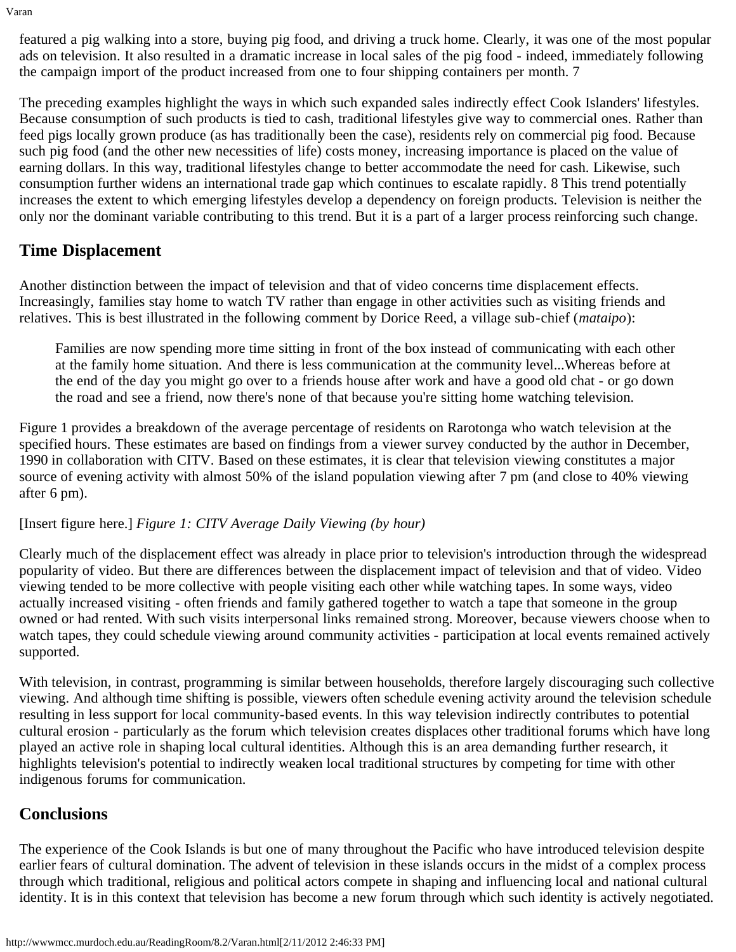featured a pig walking into a store, buying pig food, and driving a truck home. Clearly, it was one of the most popular ads on television. It also resulted in a dramatic increase in local sales of the pig food - indeed, immediately following the campaign import of the product increased from one to four shipping containers per month. 7

The preceding examples highlight the ways in which such expanded sales indirectly effect Cook Islanders' lifestyles. Because consumption of such products is tied to cash, traditional lifestyles give way to commercial ones. Rather than feed pigs locally grown produce (as has traditionally been the case), residents rely on commercial pig food. Because such pig food (and the other new necessities of life) costs money, increasing importance is placed on the value of earning dollars. In this way, traditional lifestyles change to better accommodate the need for cash. Likewise, such consumption further widens an international trade gap which continues to escalate rapidly. 8 This trend potentially increases the extent to which emerging lifestyles develop a dependency on foreign products. Television is neither the only nor the dominant variable contributing to this trend. But it is a part of a larger process reinforcing such change.

## **Time Displacement**

Another distinction between the impact of television and that of video concerns time displacement effects. Increasingly, families stay home to watch TV rather than engage in other activities such as visiting friends and relatives. This is best illustrated in the following comment by Dorice Reed, a village sub-chief (*mataipo*):

Families are now spending more time sitting in front of the box instead of communicating with each other at the family home situation. And there is less communication at the community level...Whereas before at the end of the day you might go over to a friends house after work and have a good old chat - or go down the road and see a friend, now there's none of that because you're sitting home watching television.

Figure 1 provides a breakdown of the average percentage of residents on Rarotonga who watch television at the specified hours. These estimates are based on findings from a viewer survey conducted by the author in December, 1990 in collaboration with CITV. Based on these estimates, it is clear that television viewing constitutes a major source of evening activity with almost 50% of the island population viewing after 7 pm (and close to 40% viewing after 6 pm).

#### [Insert figure here.] *Figure 1: CITV Average Daily Viewing (by hour)*

Clearly much of the displacement effect was already in place prior to television's introduction through the widespread popularity of video. But there are differences between the displacement impact of television and that of video. Video viewing tended to be more collective with people visiting each other while watching tapes. In some ways, video actually increased visiting - often friends and family gathered together to watch a tape that someone in the group owned or had rented. With such visits interpersonal links remained strong. Moreover, because viewers choose when to watch tapes, they could schedule viewing around community activities - participation at local events remained actively supported.

With television, in contrast, programming is similar between households, therefore largely discouraging such collective viewing. And although time shifting is possible, viewers often schedule evening activity around the television schedule resulting in less support for local community-based events. In this way television indirectly contributes to potential cultural erosion - particularly as the forum which television creates displaces other traditional forums which have long played an active role in shaping local cultural identities. Although this is an area demanding further research, it highlights television's potential to indirectly weaken local traditional structures by competing for time with other indigenous forums for communication.

## **Conclusions**

The experience of the Cook Islands is but one of many throughout the Pacific who have introduced television despite earlier fears of cultural domination. The advent of television in these islands occurs in the midst of a complex process through which traditional, religious and political actors compete in shaping and influencing local and national cultural identity. It is in this context that television has become a new forum through which such identity is actively negotiated.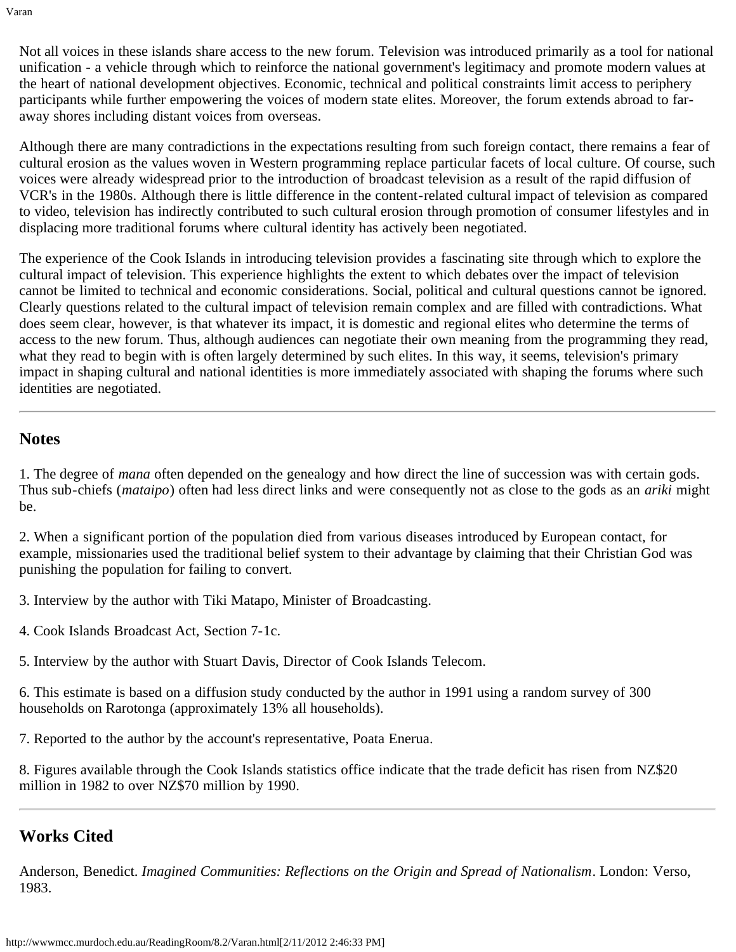Not all voices in these islands share access to the new forum. Television was introduced primarily as a tool for national unification - a vehicle through which to reinforce the national government's legitimacy and promote modern values at the heart of national development objectives. Economic, technical and political constraints limit access to periphery participants while further empowering the voices of modern state elites. Moreover, the forum extends abroad to faraway shores including distant voices from overseas.

Although there are many contradictions in the expectations resulting from such foreign contact, there remains a fear of cultural erosion as the values woven in Western programming replace particular facets of local culture. Of course, such voices were already widespread prior to the introduction of broadcast television as a result of the rapid diffusion of VCR's in the 1980s. Although there is little difference in the content-related cultural impact of television as compared to video, television has indirectly contributed to such cultural erosion through promotion of consumer lifestyles and in displacing more traditional forums where cultural identity has actively been negotiated.

The experience of the Cook Islands in introducing television provides a fascinating site through which to explore the cultural impact of television. This experience highlights the extent to which debates over the impact of television cannot be limited to technical and economic considerations. Social, political and cultural questions cannot be ignored. Clearly questions related to the cultural impact of television remain complex and are filled with contradictions. What does seem clear, however, is that whatever its impact, it is domestic and regional elites who determine the terms of access to the new forum. Thus, although audiences can negotiate their own meaning from the programming they read, what they read to begin with is often largely determined by such elites. In this way, it seems, television's primary impact in shaping cultural and national identities is more immediately associated with shaping the forums where such identities are negotiated.

#### **Notes**

1. The degree of *mana* often depended on the genealogy and how direct the line of succession was with certain gods. Thus sub-chiefs (*mataipo*) often had less direct links and were consequently not as close to the gods as an *ariki* might be.

2. When a significant portion of the population died from various diseases introduced by European contact, for example, missionaries used the traditional belief system to their advantage by claiming that their Christian God was punishing the population for failing to convert.

- 3. Interview by the author with Tiki Matapo, Minister of Broadcasting.
- 4. Cook Islands Broadcast Act, Section 7-1c.
- 5. Interview by the author with Stuart Davis, Director of Cook Islands Telecom.

6. This estimate is based on a diffusion study conducted by the author in 1991 using a random survey of 300 households on Rarotonga (approximately 13% all households).

7. Reported to the author by the account's representative, Poata Enerua.

8. Figures available through the Cook Islands statistics office indicate that the trade deficit has risen from NZ\$20 million in 1982 to over NZ\$70 million by 1990.

#### **Works Cited**

Anderson, Benedict. *Imagined Communities: Reflections on the Origin and Spread of Nationalism*. London: Verso, 1983.